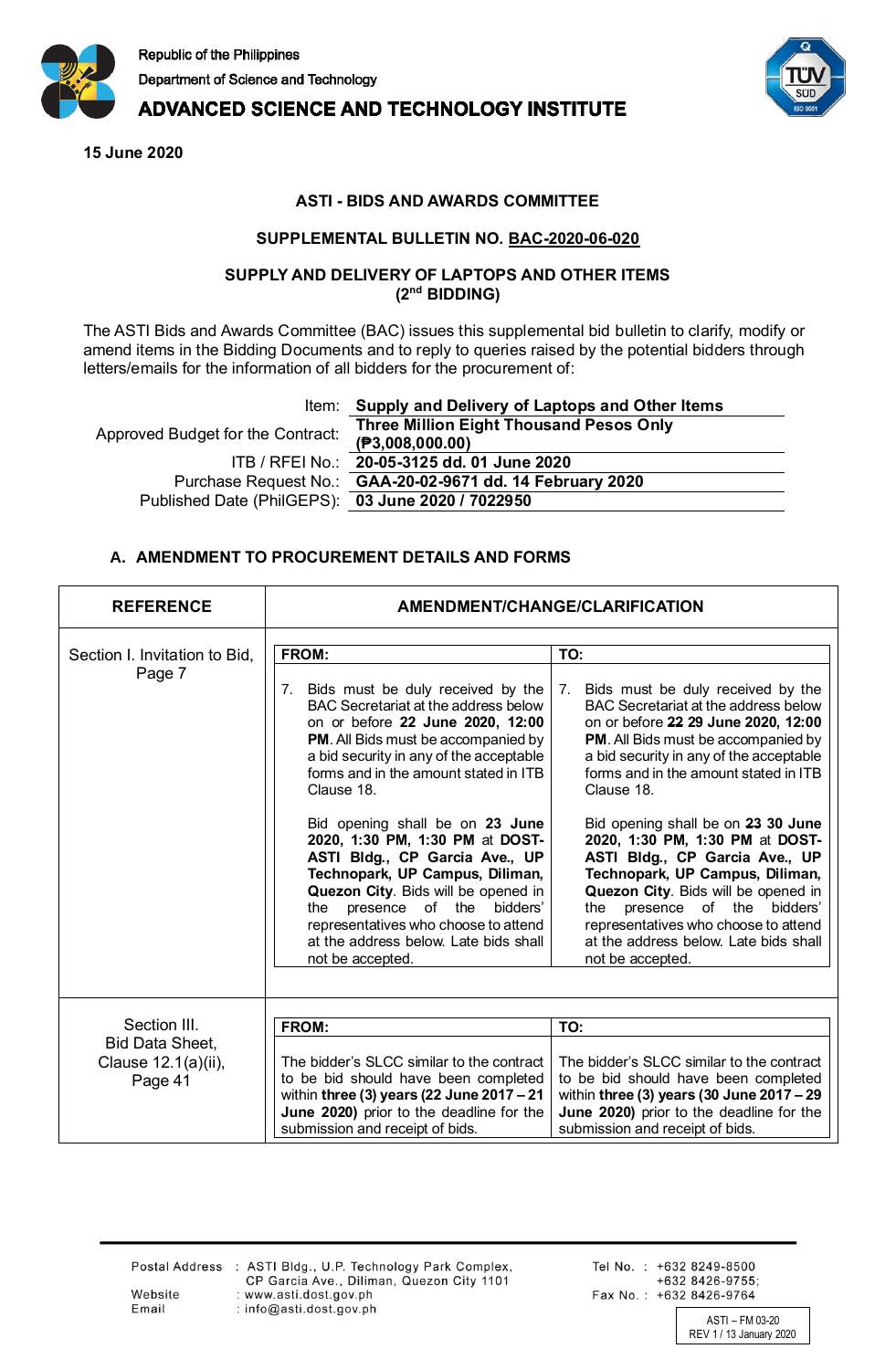

# **ADVANCED SCIENCE AND TECHNOLOGY INSTITUTE**

**15 June 2020**



### **ASTI - BIDS AND AWARDS COMMITTEE**

#### **SUPPLEMENTAL BULLETIN NO. BAC-2020-06-020**

#### **SUPPLY AND DELIVERY OF LAPTOPS AND OTHER ITEMS (2nd BIDDING)**

The ASTI Bids and Awards Committee (BAC) issues this supplemental bid bulletin to clarify, modify or amend items in the Bidding Documents and to reply to queries raised by the potential bidders through letters/emails for the information of all bidders for the procurement of:

Item: **Supply and Delivery of Laptops and Other Items**

Approved Budget for the Contract ITB / RFEI No.: **20-05-3125 dd. 01 June 2020 Purchase Request No.** Published Date (PhilGEPS): **03 June 2020 / 7022950**

| it: | <b>Three Million Eight Thousand Pesos Only</b> |
|-----|------------------------------------------------|
|     | (P3,008,000.00)                                |
|     |                                                |
|     | .: GAA-20-02-9671 dd. 14 February 2020         |
|     | <b>(i):</b> 03 June 2020 / 7022950             |
|     |                                                |

### **A. AMENDMENT TO PROCUREMENT DETAILS AND FORMS**

| <b>REFERENCE</b>                                                         | <b>AMENDMENT/CHANGE/CLARIFICATION</b>                                                                                                                                                                                                                                                                                                                                                                                                                                                                                                                                                                  |                                                                                                                                                                                                                                                                                                                                                                                                                                                                                                                                                                                                               |  |
|--------------------------------------------------------------------------|--------------------------------------------------------------------------------------------------------------------------------------------------------------------------------------------------------------------------------------------------------------------------------------------------------------------------------------------------------------------------------------------------------------------------------------------------------------------------------------------------------------------------------------------------------------------------------------------------------|---------------------------------------------------------------------------------------------------------------------------------------------------------------------------------------------------------------------------------------------------------------------------------------------------------------------------------------------------------------------------------------------------------------------------------------------------------------------------------------------------------------------------------------------------------------------------------------------------------------|--|
| Section I. Invitation to Bid,<br>Page 7                                  | FROM:<br>Bids must be duly received by the<br>7.<br>BAC Secretariat at the address below<br>on or before 22 June 2020, 12:00<br><b>PM.</b> All Bids must be accompanied by<br>a bid security in any of the acceptable<br>forms and in the amount stated in ITB<br>Clause 18.<br>Bid opening shall be on 23 June<br>2020, 1:30 PM, 1:30 PM at DOST-<br>ASTI Bldg., CP Garcia Ave., UP<br>Technopark, UP Campus, Diliman,<br>Quezon City. Bids will be opened in<br>presence of the bidders'<br>the<br>representatives who choose to attend<br>at the address below. Late bids shall<br>not be accepted. | TO:<br>Bids must be duly received by the<br>7.<br>BAC Secretariat at the address below<br>on or before 22 29 June 2020, 12:00<br><b>PM.</b> All Bids must be accompanied by<br>a bid security in any of the acceptable<br>forms and in the amount stated in ITB<br>Clause 18.<br>Bid opening shall be on 23 30 June<br>2020, 1:30 PM, 1:30 PM at DOST-<br>ASTI Bldg., CP Garcia Ave., UP<br>Technopark, UP Campus, Diliman,<br>Quezon City. Bids will be opened in<br>presence of the<br>bidders'<br>the<br>representatives who choose to attend<br>at the address below. Late bids shall<br>not be accepted. |  |
| Section III.<br><b>Bid Data Sheet,</b><br>Clause 12.1(a)(ii),<br>Page 41 | FROM:<br>The bidder's SLCC similar to the contract<br>to be bid should have been completed<br>within three (3) years (22 June 2017 $-21$<br>June 2020) prior to the deadline for the<br>submission and receipt of bids.                                                                                                                                                                                                                                                                                                                                                                                | TO:<br>The bidder's SLCC similar to the contract<br>to be bid should have been completed<br>within three (3) years (30 June $2017 - 29$<br>June 2020) prior to the deadline for the<br>submission and receipt of bids.                                                                                                                                                                                                                                                                                                                                                                                        |  |

Website

Email

Postal Address : ASTI Bldg., U.P. Technology Park Complex, CP Garcia Ave., Diliman, Quezon City 1101 : www.asti.dost.gov.ph : info@asti.dost.gov.ph

Tel No.: +632 8249-8500 +632 8426-9755; Fax No.: +632 8426-9764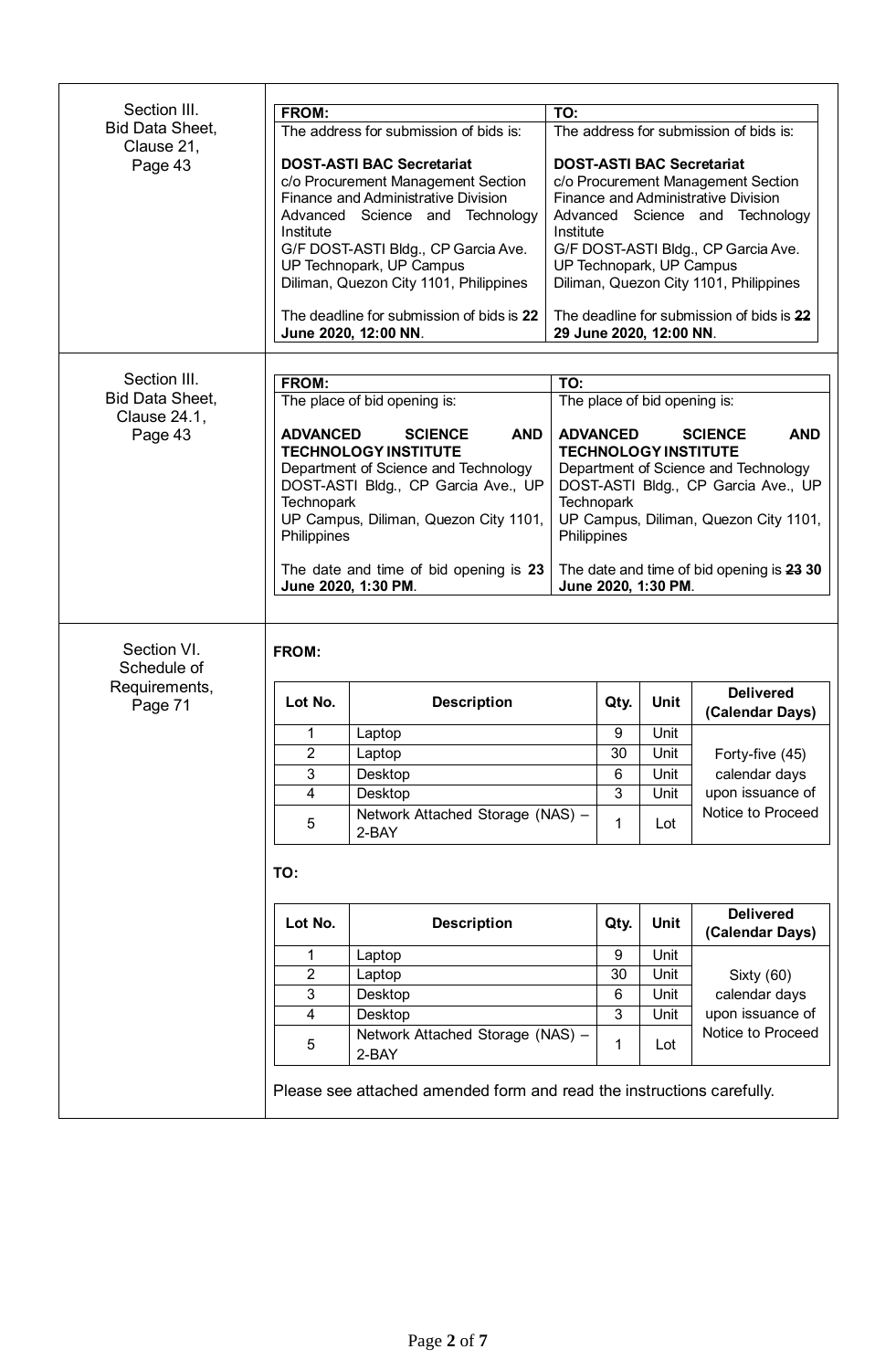| Section III.                           |                                                        |                                           |                                           |                                        |                                            |  |
|----------------------------------------|--------------------------------------------------------|-------------------------------------------|-------------------------------------------|----------------------------------------|--------------------------------------------|--|
| <b>Bid Data Sheet,</b>                 | FROM:<br>TO:<br>The address for submission of bids is: |                                           |                                           |                                        |                                            |  |
| Clause 21,                             |                                                        |                                           |                                           | The address for submission of bids is: |                                            |  |
| Page 43                                |                                                        | <b>DOST-ASTI BAC Secretariat</b>          |                                           |                                        | <b>DOST-ASTI BAC Secretariat</b>           |  |
|                                        |                                                        | c/o Procurement Management Section        |                                           |                                        | c/o Procurement Management Section         |  |
|                                        |                                                        | Finance and Administrative Division       |                                           |                                        | <b>Finance and Administrative Division</b> |  |
|                                        |                                                        | Advanced Science and Technology           |                                           |                                        | Advanced Science and Technology            |  |
|                                        | Institute                                              | G/F DOST-ASTI Bldg., CP Garcia Ave.       | Institute                                 |                                        | G/F DOST-ASTI Bldg., CP Garcia Ave.        |  |
|                                        |                                                        | UP Technopark, UP Campus                  | UP Technopark, UP Campus                  |                                        |                                            |  |
|                                        |                                                        | Diliman, Quezon City 1101, Philippines    |                                           |                                        | Diliman, Quezon City 1101, Philippines     |  |
|                                        |                                                        |                                           |                                           |                                        |                                            |  |
|                                        |                                                        | The deadline for submission of bids is 22 |                                           |                                        | The deadline for submission of bids is 22  |  |
|                                        |                                                        | June 2020, 12:00 NN.                      | 29 June 2020, 12:00 NN.                   |                                        |                                            |  |
|                                        |                                                        |                                           |                                           |                                        |                                            |  |
| Section III.                           | <b>FROM:</b>                                           |                                           | TO:                                       |                                        |                                            |  |
| <b>Bid Data Sheet,</b><br>Clause 24.1, |                                                        | The place of bid opening is:              | The place of bid opening is:              |                                        |                                            |  |
| Page 43                                | <b>ADVANCED</b>                                        | <b>SCIENCE</b><br><b>AND</b>              | <b>ADVANCED</b>                           |                                        | <b>AND</b><br><b>SCIENCE</b>               |  |
|                                        |                                                        | <b>TECHNOLOGY INSTITUTE</b>               | <b>TECHNOLOGY INSTITUTE</b>               |                                        |                                            |  |
|                                        |                                                        | Department of Science and Technology      |                                           |                                        | Department of Science and Technology       |  |
|                                        |                                                        | DOST-ASTI Bldg., CP Garcia Ave., UP       |                                           |                                        | DOST-ASTI Bldg., CP Garcia Ave., UP        |  |
|                                        | <b>Technopark</b>                                      |                                           | <b>Technopark</b>                         |                                        |                                            |  |
|                                        | Philippines                                            | UP Campus, Diliman, Quezon City 1101,     | Philippines                               |                                        | UP Campus, Diliman, Quezon City 1101,      |  |
|                                        |                                                        |                                           |                                           |                                        |                                            |  |
|                                        |                                                        | The date and time of bid opening is 23    | The date and time of bid opening is 23 30 |                                        |                                            |  |
|                                        |                                                        | June 2020, 1:30 PM.                       | June 2020, 1:30 PM.                       |                                        |                                            |  |
|                                        |                                                        |                                           |                                           |                                        |                                            |  |
| Section VI.<br>Schedule of             | <b>FROM:</b>                                           |                                           |                                           |                                        |                                            |  |
| Requirements,<br>Page 71               | Lot No.                                                | <b>Description</b>                        | Qty.                                      | <b>Unit</b>                            | <b>Delivered</b><br>(Calendar Days)        |  |
|                                        | 1                                                      | Laptop                                    | 9                                         |                                        |                                            |  |
|                                        | 2                                                      |                                           |                                           | Unit                                   |                                            |  |
|                                        |                                                        | Laptop                                    | 30                                        | Unit                                   | Forty-five (45)                            |  |
|                                        | $\ensuremath{\mathsf{3}}$                              | Desktop                                   | 6                                         | Unit                                   | calendar days                              |  |
|                                        | $\overline{4}$                                         | Desktop                                   | 3                                         | Unit                                   | upon issuance of                           |  |
|                                        | 5                                                      | Network Attached Storage (NAS) -<br>2-BAY | 1                                         | Lot                                    | Notice to Proceed                          |  |
|                                        | TO:                                                    |                                           |                                           |                                        |                                            |  |
|                                        |                                                        |                                           |                                           |                                        |                                            |  |
|                                        | Lot No.                                                | <b>Description</b>                        | Qty.                                      | <b>Unit</b>                            | <b>Delivered</b><br>(Calendar Days)        |  |
|                                        | 1                                                      | Laptop                                    | 9                                         | Unit                                   |                                            |  |
|                                        | $\overline{2}$                                         | Laptop                                    | 30                                        | Unit                                   | Sixty (60)                                 |  |
|                                        | $\mathbf{3}$                                           | Desktop                                   | 6                                         | Unit                                   | calendar days                              |  |
|                                        | $\overline{\mathbf{4}}$                                | Desktop                                   | 3                                         | Unit                                   | upon issuance of                           |  |
|                                        | 5                                                      | Network Attached Storage (NAS) -<br>2-BAY | 1                                         | Lot                                    | Notice to Proceed                          |  |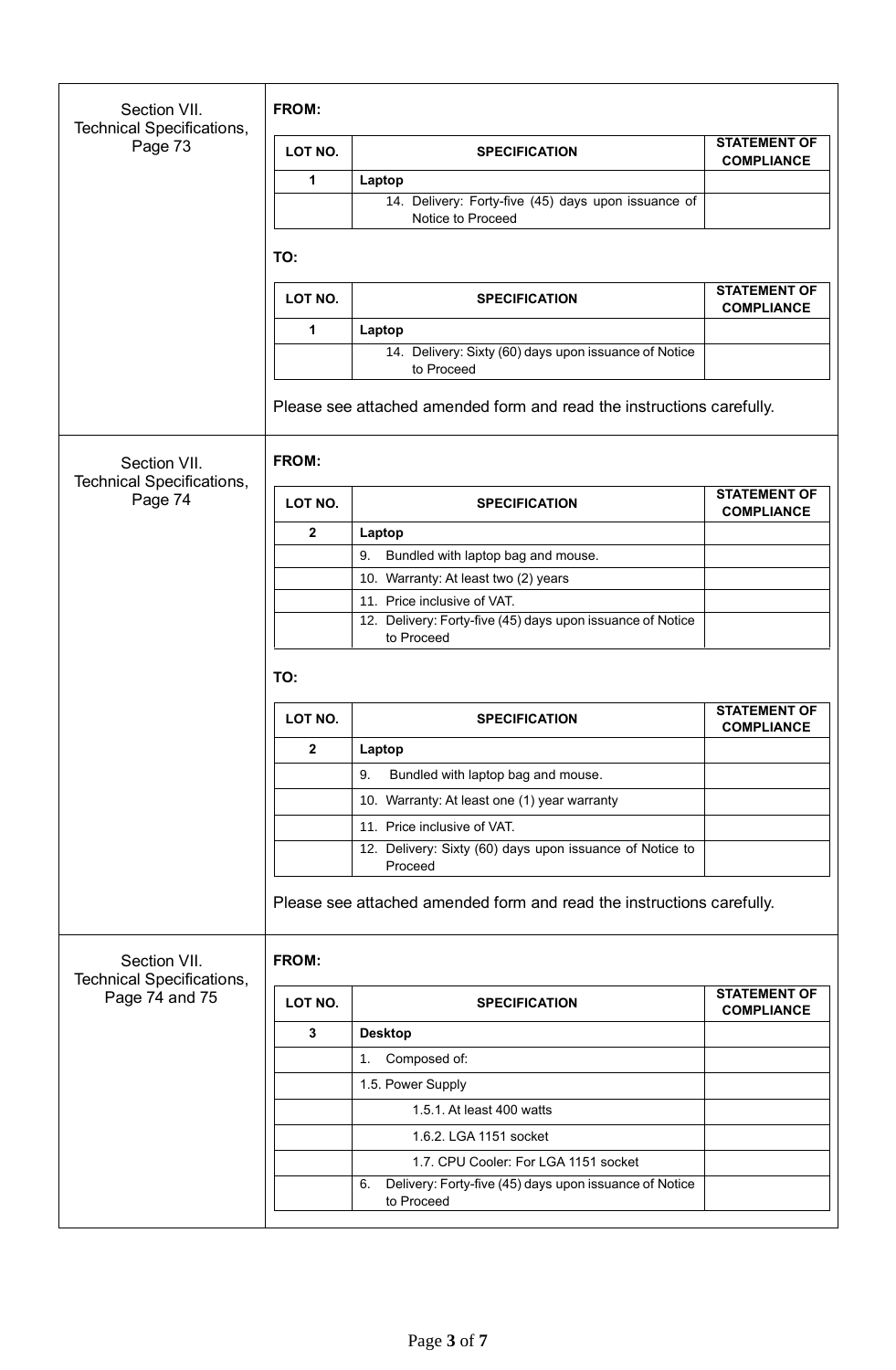| Section VII.<br>Technical Specifications,        | <b>FROM:</b>   |                                                                            |                                          |
|--------------------------------------------------|----------------|----------------------------------------------------------------------------|------------------------------------------|
| Page 73                                          | LOT NO.        | <b>SPECIFICATION</b>                                                       | <b>STATEMENT OF</b><br><b>COMPLIANCE</b> |
|                                                  | 1              | Laptop                                                                     |                                          |
|                                                  |                | 14. Delivery: Forty-five (45) days upon issuance of<br>Notice to Proceed   |                                          |
|                                                  | TO:            |                                                                            |                                          |
|                                                  | LOT NO.        | <b>SPECIFICATION</b>                                                       | <b>STATEMENT OF</b><br><b>COMPLIANCE</b> |
|                                                  | 1              | Laptop                                                                     |                                          |
|                                                  |                | 14. Delivery: Sixty (60) days upon issuance of Notice<br>to Proceed        |                                          |
|                                                  |                | Please see attached amended form and read the instructions carefully.      |                                          |
| Section VII.<br><b>Technical Specifications,</b> | FROM:          |                                                                            |                                          |
| Page 74                                          | LOT NO.        | <b>SPECIFICATION</b>                                                       | <b>STATEMENT OF</b><br><b>COMPLIANCE</b> |
|                                                  | $\mathbf{2}$   | Laptop                                                                     |                                          |
|                                                  |                | Bundled with laptop bag and mouse.<br>9.                                   |                                          |
|                                                  |                | 10. Warranty: At least two (2) years                                       |                                          |
|                                                  |                | 11. Price inclusive of VAT.                                                |                                          |
|                                                  |                | 12. Delivery: Forty-five (45) days upon issuance of Notice<br>to Proceed   |                                          |
|                                                  | TO:            |                                                                            | <b>STATEMENT OF</b>                      |
|                                                  | LOT NO.        | <b>SPECIFICATION</b>                                                       | <b>COMPLIANCE</b>                        |
|                                                  | $\overline{2}$ | Laptop                                                                     |                                          |
|                                                  |                | Bundled with laptop bag and mouse.<br>9.                                   |                                          |
|                                                  |                | 10. Warranty: At least one (1) year warranty                               |                                          |
|                                                  |                | 11. Price inclusive of VAT.                                                |                                          |
|                                                  |                | 12. Delivery: Sixty (60) days upon issuance of Notice to<br>Proceed        |                                          |
|                                                  |                | Please see attached amended form and read the instructions carefully.      |                                          |
| Section VII.<br>Technical Specifications,        | FROM:          |                                                                            |                                          |
| Page 74 and 75                                   | LOT NO.        | <b>SPECIFICATION</b>                                                       | <b>STATEMENT OF</b><br><b>COMPLIANCE</b> |
|                                                  | $\mathbf{3}$   | <b>Desktop</b>                                                             |                                          |
|                                                  |                | Composed of:<br>1.                                                         |                                          |
|                                                  |                | 1.5. Power Supply                                                          |                                          |
|                                                  |                | 1.5.1. At least 400 watts                                                  |                                          |
|                                                  |                | 1.6.2. LGA 1151 socket                                                     |                                          |
|                                                  |                | 1.7. CPU Cooler: For LGA 1151 socket                                       |                                          |
|                                                  |                | Delivery: Forty-five (45) days upon issuance of Notice<br>6.<br>to Proceed |                                          |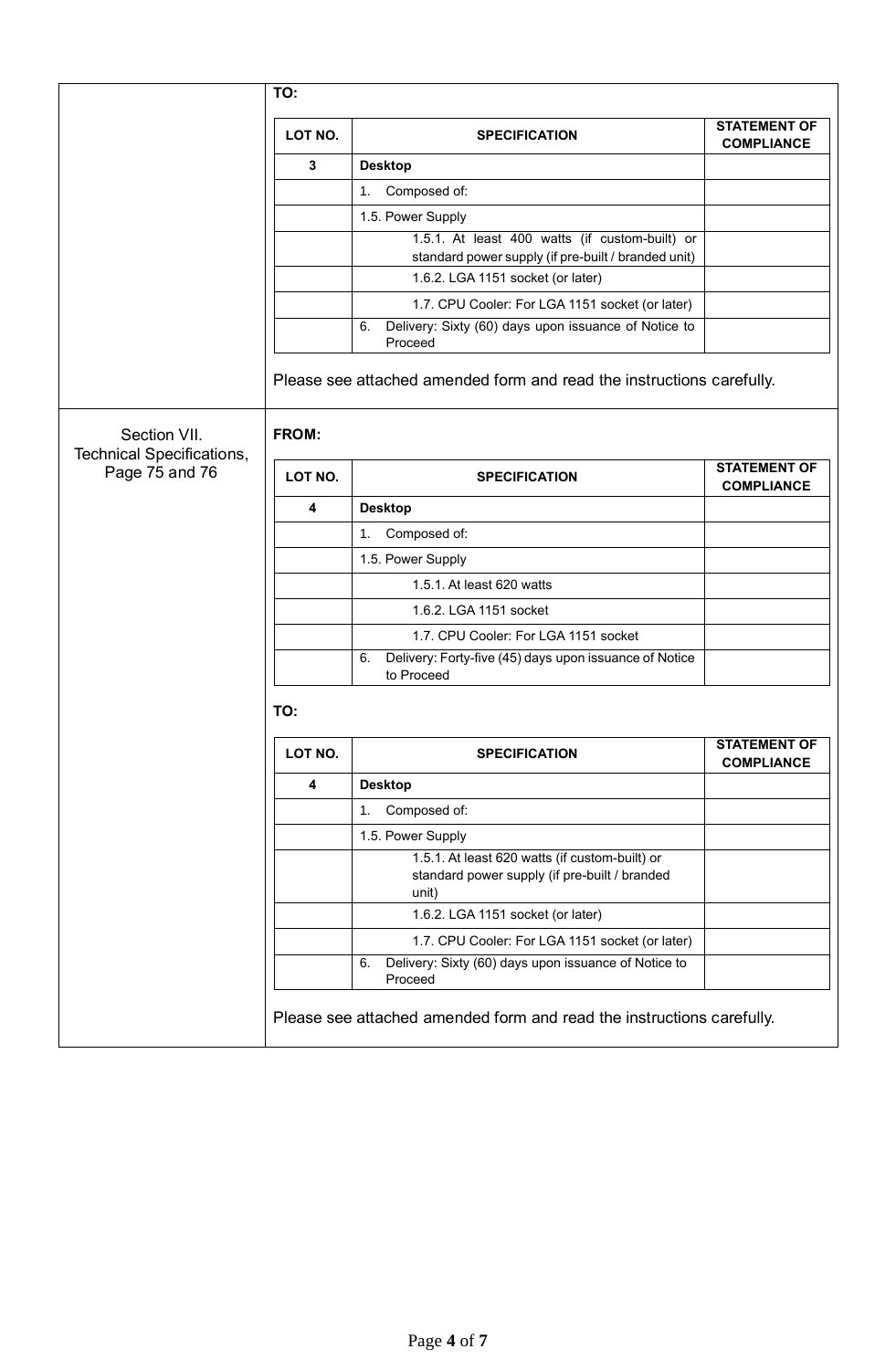|                                                  | TO:     |                                                                                                               |                                          |
|--------------------------------------------------|---------|---------------------------------------------------------------------------------------------------------------|------------------------------------------|
|                                                  | LOT NO. | <b>SPECIFICATION</b>                                                                                          | <b>STATEMENT OF</b><br><b>COMPLIANCE</b> |
|                                                  | 3       | <b>Desktop</b>                                                                                                |                                          |
|                                                  |         | Composed of:<br>1 <sub>1</sub>                                                                                |                                          |
|                                                  |         | 1.5. Power Supply                                                                                             |                                          |
|                                                  |         | 1.5.1. At least 400 watts (if custom-built) or<br>standard power supply (if pre-built / branded unit)         |                                          |
|                                                  |         | 1.6.2. LGA 1151 socket (or later)                                                                             |                                          |
|                                                  |         | 1.7. CPU Cooler: For LGA 1151 socket (or later)                                                               |                                          |
|                                                  |         | Delivery: Sixty (60) days upon issuance of Notice to<br>6.<br>Proceed                                         |                                          |
| Section VII.<br><b>Technical Specifications,</b> | FROM:   | Please see attached amended form and read the instructions carefully.                                         |                                          |
| Page 75 and 76                                   | LOT NO. | <b>SPECIFICATION</b>                                                                                          | <b>STATEMENT OF</b><br><b>COMPLIANCE</b> |
|                                                  | 4       | <b>Desktop</b>                                                                                                |                                          |
|                                                  |         | Composed of:<br>1 <sub>1</sub>                                                                                |                                          |
|                                                  |         | 1.5. Power Supply                                                                                             |                                          |
|                                                  |         | 1.5.1. At least 620 watts                                                                                     |                                          |
|                                                  |         | 1.6.2. LGA 1151 socket                                                                                        |                                          |
|                                                  |         | 1.7. CPU Cooler: For LGA 1151 socket                                                                          |                                          |
|                                                  |         | Delivery: Forty-five (45) days upon issuance of Notice<br>6.<br>to Proceed                                    |                                          |
|                                                  | TO:     |                                                                                                               |                                          |
|                                                  | LOT NO. | <b>SPECIFICATION</b>                                                                                          | <b>STATEMENT OF</b><br><b>COMPLIANCE</b> |
|                                                  | 4       | <b>Desktop</b>                                                                                                |                                          |
|                                                  |         | Composed of:<br>1.                                                                                            |                                          |
|                                                  |         | 1.5. Power Supply                                                                                             |                                          |
|                                                  |         | 1.5.1. At least 620 watts (if custom-built) or<br>standard power supply (if pre-built / branded               |                                          |
|                                                  |         | unit)                                                                                                         |                                          |
|                                                  |         | 1.6.2. LGA 1151 socket (or later)                                                                             |                                          |
|                                                  |         | 1.7. CPU Cooler: For LGA 1151 socket (or later)<br>Delivery: Sixty (60) days upon issuance of Notice to<br>6. |                                          |
|                                                  |         | Proceed                                                                                                       |                                          |
|                                                  |         | Please see attached amended form and read the instructions carefully.                                         |                                          |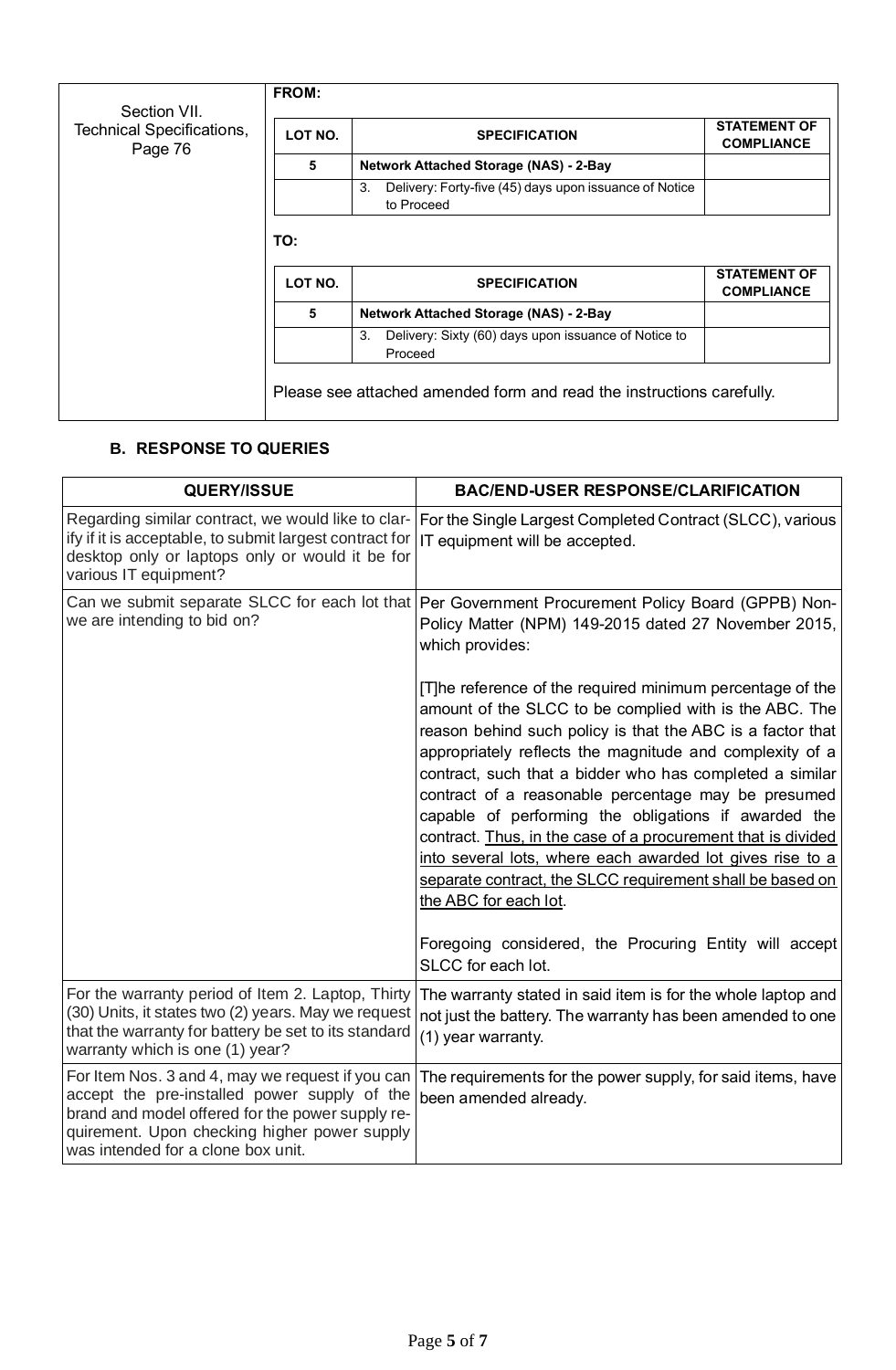| Section VII.                         | <b>FROM:</b> |                                                                            |                                          |
|--------------------------------------|--------------|----------------------------------------------------------------------------|------------------------------------------|
| Technical Specifications,<br>Page 76 | LOT NO.      | <b>SPECIFICATION</b>                                                       | <b>STATEMENT OF</b><br><b>COMPLIANCE</b> |
|                                      | 5            | <b>Network Attached Storage (NAS) - 2-Bay</b>                              |                                          |
|                                      |              | Delivery: Forty-five (45) days upon issuance of Notice<br>3.<br>to Proceed |                                          |
|                                      | TO:          |                                                                            | <b>STATEMENT OF</b>                      |
|                                      | LOT NO.      | <b>SPECIFICATION</b>                                                       | <b>COMPLIANCE</b>                        |
|                                      | 5            | <b>Network Attached Storage (NAS) - 2-Bay</b>                              |                                          |
|                                      |              | Delivery: Sixty (60) days upon issuance of Notice to<br>3.<br>Proceed      |                                          |
|                                      |              | Please see attached amended form and read the instructions carefully.      |                                          |

# **B. RESPONSE TO QUERIES**

| <b>QUERY/ISSUE</b>                                                                                                                                                                                                                         | <b>BAC/END-USER RESPONSE/CLARIFICATION</b>                                                                                                                                                                                                                                                                                                                                                                                                                                                                                                                                                                                                  |
|--------------------------------------------------------------------------------------------------------------------------------------------------------------------------------------------------------------------------------------------|---------------------------------------------------------------------------------------------------------------------------------------------------------------------------------------------------------------------------------------------------------------------------------------------------------------------------------------------------------------------------------------------------------------------------------------------------------------------------------------------------------------------------------------------------------------------------------------------------------------------------------------------|
| Regarding similar contract, we would like to clar-<br>ify if it is acceptable, to submit largest contract for<br>desktop only or laptops only or would it be for<br>various IT equipment?                                                  | For the Single Largest Completed Contract (SLCC), various<br>IT equipment will be accepted.                                                                                                                                                                                                                                                                                                                                                                                                                                                                                                                                                 |
| we are intending to bid on?                                                                                                                                                                                                                | Can we submit separate SLCC for each lot that   Per Government Procurement Policy Board (GPPB) Non-<br>Policy Matter (NPM) 149-2015 dated 27 November 2015,<br>which provides:                                                                                                                                                                                                                                                                                                                                                                                                                                                              |
|                                                                                                                                                                                                                                            | [T]he reference of the required minimum percentage of the<br>amount of the SLCC to be complied with is the ABC. The<br>reason behind such policy is that the ABC is a factor that<br>appropriately reflects the magnitude and complexity of a<br>contract, such that a bidder who has completed a similar<br>contract of a reasonable percentage may be presumed<br>capable of performing the obligations if awarded the<br>contract. Thus, in the case of a procurement that is divided<br>into several lots, where each awarded lot gives rise to a<br>separate contract, the SLCC requirement shall be based on<br>the ABC for each lot. |
|                                                                                                                                                                                                                                            | Foregoing considered, the Procuring Entity will accept<br>SLCC for each lot.                                                                                                                                                                                                                                                                                                                                                                                                                                                                                                                                                                |
| For the warranty period of Item 2. Laptop, Thirty<br>(30) Units, it states two (2) years. May we request<br>that the warranty for battery be set to its standard<br>warranty which is one (1) year?                                        | The warranty stated in said item is for the whole laptop and<br>not just the battery. The warranty has been amended to one<br>(1) year warranty.                                                                                                                                                                                                                                                                                                                                                                                                                                                                                            |
| For Item Nos. 3 and 4, may we request if you can<br>accept the pre-installed power supply of the<br>brand and model offered for the power supply re-<br>quirement. Upon checking higher power supply<br>was intended for a clone box unit. | The requirements for the power supply, for said items, have<br>been amended already.                                                                                                                                                                                                                                                                                                                                                                                                                                                                                                                                                        |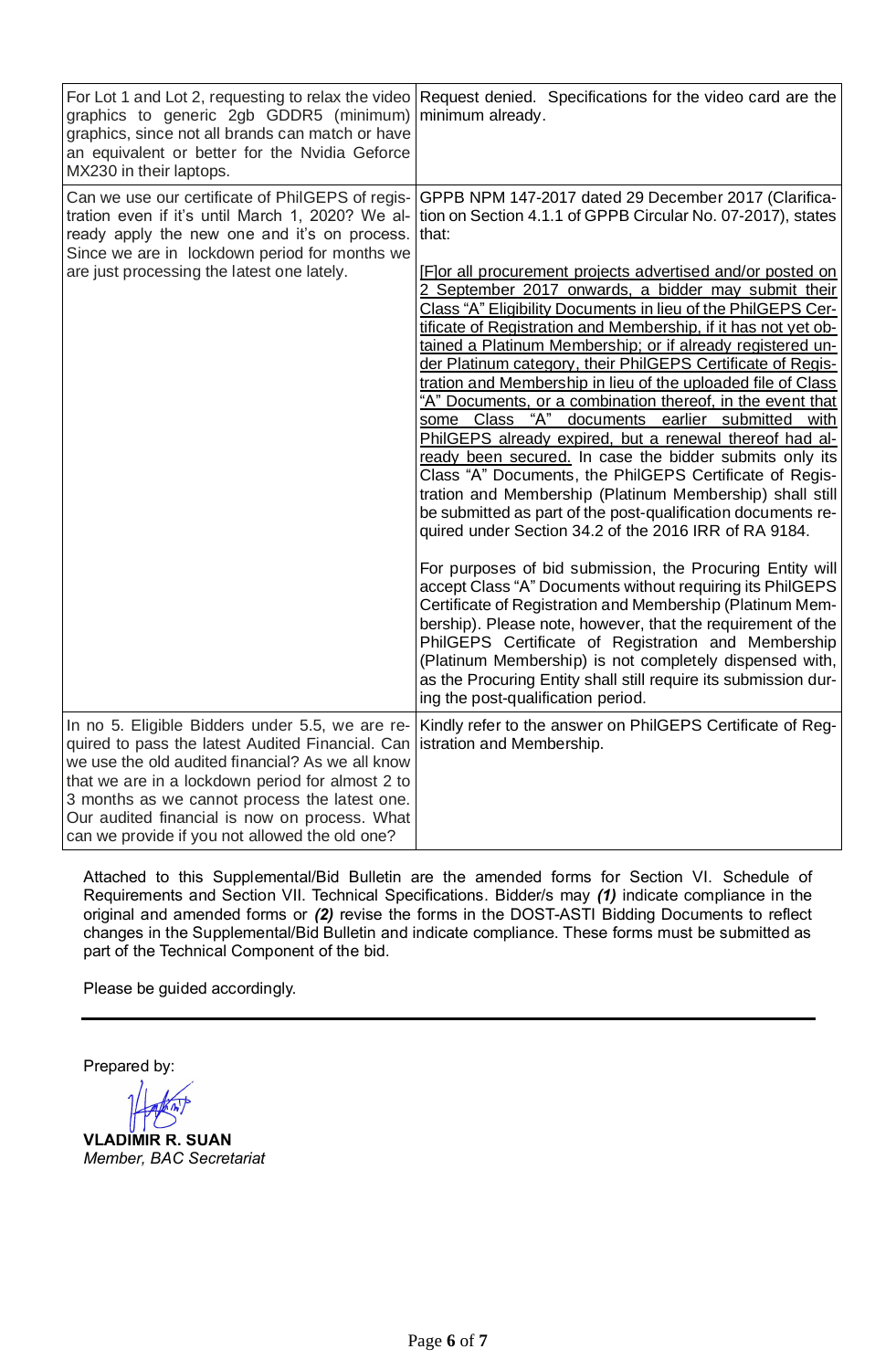| graphics to generic 2gb GDDR5 (minimum)<br>graphics, since not all brands can match or have<br>an equivalent or better for the Nvidia Geforce<br>MX230 in their laptops.                                                                                                                                                                                                                  | For Lot 1 and Lot 2, requesting to relax the video Request denied. Specifications for the video card are the<br>minimum already.                                                                                                                                                                                                                                                                                                                                                                                                                                                                                                                                                                                                                                                                                                                                                                                                                                                                                                                                                                                                                                                                                                                                                                                                                                                                                                                                                                                                                             |
|-------------------------------------------------------------------------------------------------------------------------------------------------------------------------------------------------------------------------------------------------------------------------------------------------------------------------------------------------------------------------------------------|--------------------------------------------------------------------------------------------------------------------------------------------------------------------------------------------------------------------------------------------------------------------------------------------------------------------------------------------------------------------------------------------------------------------------------------------------------------------------------------------------------------------------------------------------------------------------------------------------------------------------------------------------------------------------------------------------------------------------------------------------------------------------------------------------------------------------------------------------------------------------------------------------------------------------------------------------------------------------------------------------------------------------------------------------------------------------------------------------------------------------------------------------------------------------------------------------------------------------------------------------------------------------------------------------------------------------------------------------------------------------------------------------------------------------------------------------------------------------------------------------------------------------------------------------------------|
| Can we use our certificate of PhilGEPS of regis-<br>tration even if it's until March 1, 2020? We al-<br>ready apply the new one and it's on process.<br>Since we are in lockdown period for months we<br>are just processing the latest one lately.                                                                                                                                       | GPPB NPM 147-2017 dated 29 December 2017 (Clarifica-<br>tion on Section 4.1.1 of GPPB Circular No. 07-2017), states<br>that:<br>[F] or all procurement projects advertised and/or posted on<br>2 September 2017 onwards, a bidder may submit their<br>Class "A" Eligibility Documents in lieu of the PhilGEPS Cer-<br>tificate of Registration and Membership, if it has not yet ob-<br>tained a Platinum Membership; or if already registered un-<br>der Platinum category, their PhilGEPS Certificate of Regis-<br>tration and Membership in lieu of the uploaded file of Class<br>"A" Documents, or a combination thereof, in the event that<br>some Class "A" documents earlier submitted<br>with<br>PhilGEPS already expired, but a renewal thereof had al-<br>ready been secured. In case the bidder submits only its<br>Class "A" Documents, the PhilGEPS Certificate of Regis-<br>tration and Membership (Platinum Membership) shall still<br>be submitted as part of the post-qualification documents re-<br>quired under Section 34.2 of the 2016 IRR of RA 9184.<br>For purposes of bid submission, the Procuring Entity will<br>accept Class "A" Documents without requiring its PhilGEPS<br>Certificate of Registration and Membership (Platinum Mem-<br>bership). Please note, however, that the requirement of the<br>PhilGEPS Certificate of Registration and Membership<br>(Platinum Membership) is not completely dispensed with,<br>as the Procuring Entity shall still require its submission dur-<br>ing the post-qualification period. |
| In no 5. Eligible Bidders under 5.5, we are re-<br>quired to pass the latest Audited Financial. Can istration and Membership.<br>we use the old audited financial? As we all know<br>that we are in a lockdown period for almost 2 to<br>3 months as we cannot process the latest one.<br>Our audited financial is now on process. What<br>can we provide if you not allowed the old one? | Kindly refer to the answer on PhilGEPS Certificate of Reg-                                                                                                                                                                                                                                                                                                                                                                                                                                                                                                                                                                                                                                                                                                                                                                                                                                                                                                                                                                                                                                                                                                                                                                                                                                                                                                                                                                                                                                                                                                   |

Attached to this Supplemental/Bid Bulletin are the amended forms for Section VI. Schedule of Requirements and Section VII. Technical Specifications. Bidder/s may *(1)* indicate compliance in the original and amended forms or *(2)* revise the forms in the DOST-ASTI Bidding Documents to reflect changes in the Supplemental/Bid Bulletin and indicate compliance. These forms must be submitted as part of the Technical Component of the bid.

Please be guided accordingly.

Prepared by:

**VLADIMIR R. SUAN** *Member, BAC Secretariat*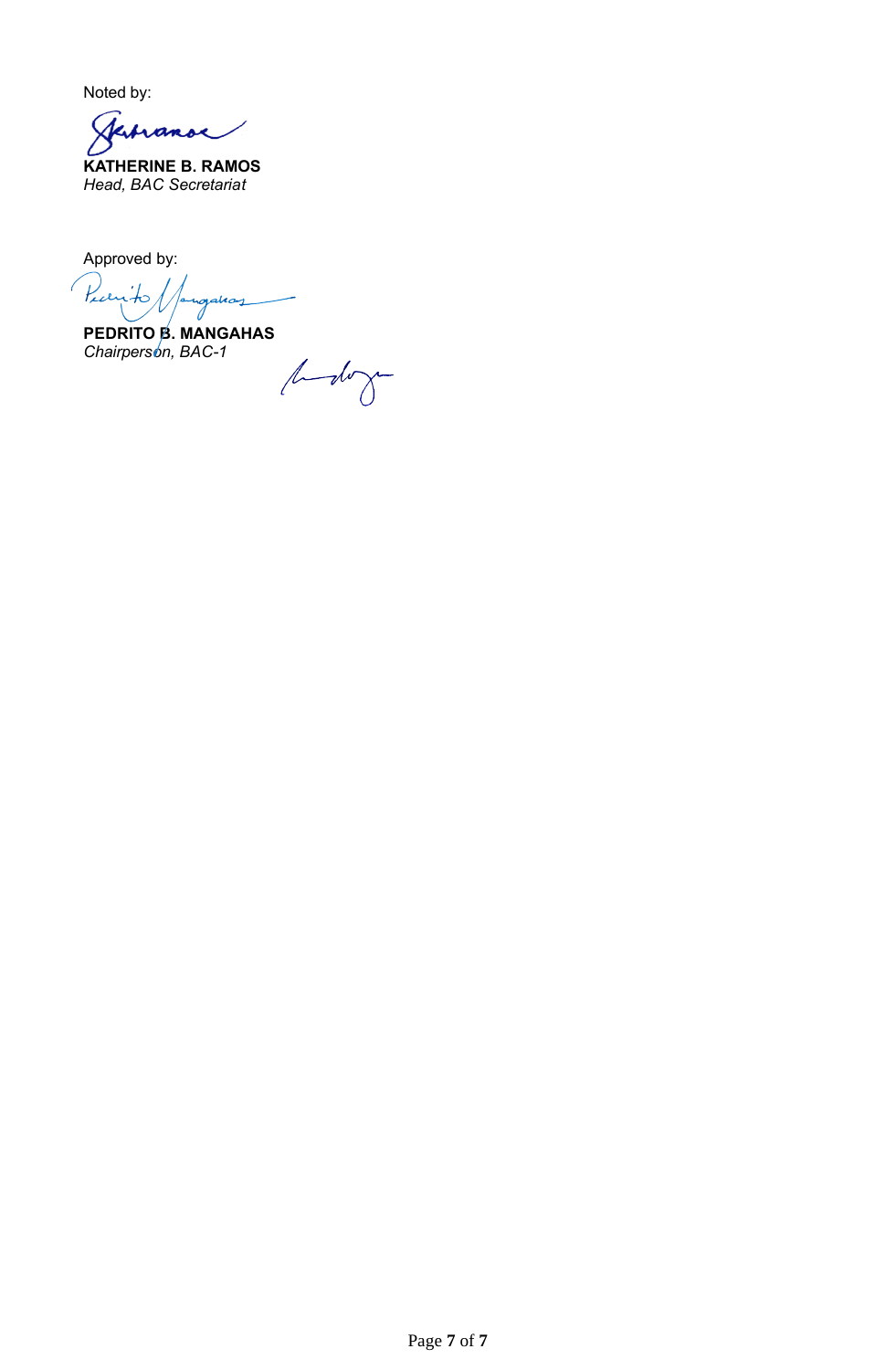Noted by:

Jerranoe

**KATHERINE B. RAMOS** *Head, BAC Secretariat*

Approved by:

Piccip gahay 0

**PEDRITO B. MANGAHAS** *Chairperson, BAC-1*

bodogo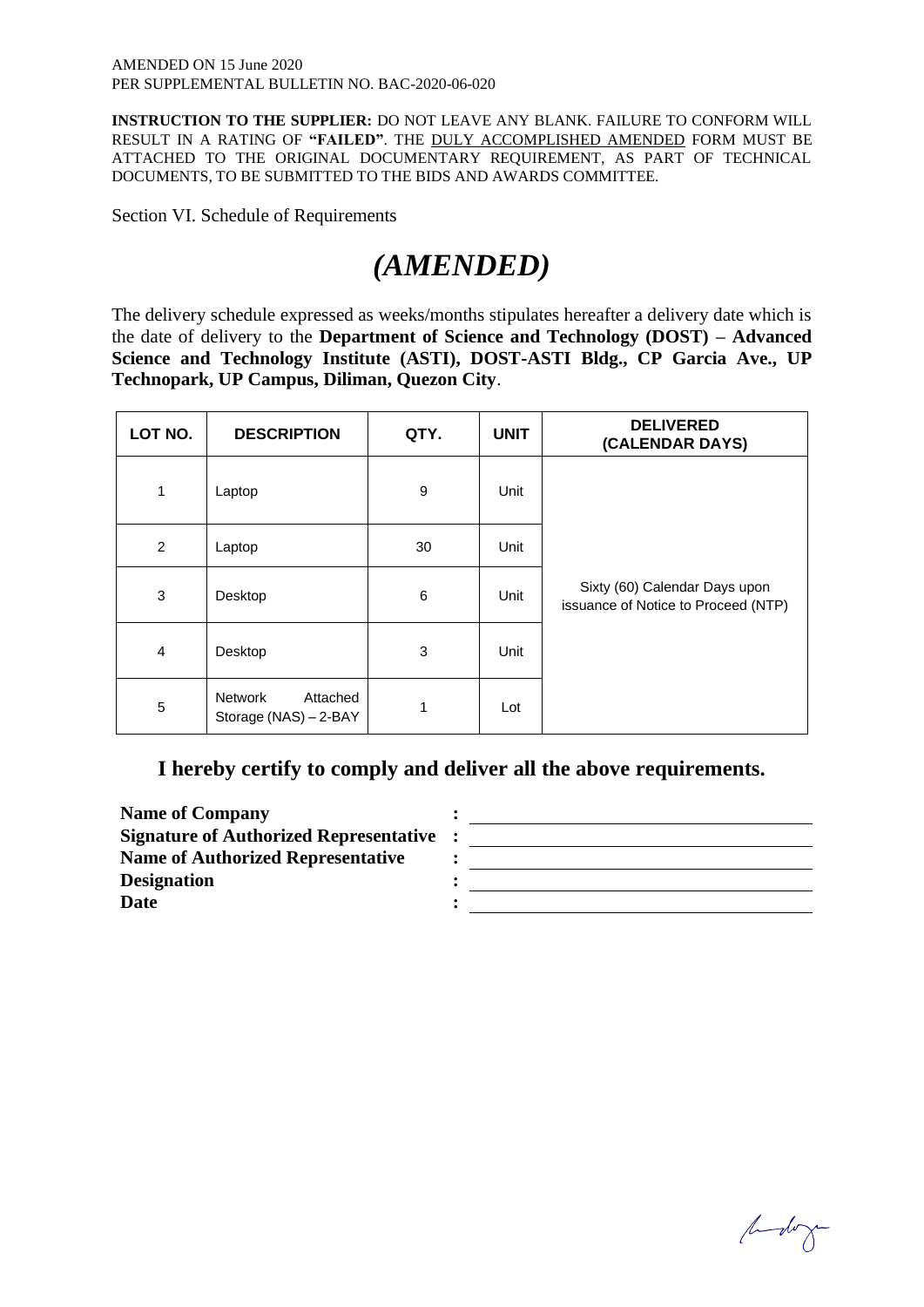**INSTRUCTION TO THE SUPPLIER:** DO NOT LEAVE ANY BLANK. FAILURE TO CONFORM WILL RESULT IN A RATING OF **"FAILED"**. THE DULY ACCOMPLISHED AMENDED FORM MUST BE ATTACHED TO THE ORIGINAL DOCUMENTARY REQUIREMENT, AS PART OF TECHNICAL DOCUMENTS, TO BE SUBMITTED TO THE BIDS AND AWARDS COMMITTEE.

Section VI. Schedule of Requirements

# *(AMENDED)*

The delivery schedule expressed as weeks/months stipulates hereafter a delivery date which is the date of delivery to the **Department of Science and Technology (DOST) – Advanced Science and Technology Institute (ASTI), DOST-ASTI Bldg., CP Garcia Ave., UP Technopark, UP Campus, Diliman, Quezon City**.

| LOT NO.      | <b>DESCRIPTION</b>                           | QTY. | <b>UNIT</b> | <b>DELIVERED</b><br>(CALENDAR DAYS)                                  |
|--------------|----------------------------------------------|------|-------------|----------------------------------------------------------------------|
| $\mathbf{1}$ | Laptop                                       | 9    | Unit        |                                                                      |
| 2            | Laptop                                       | 30   | Unit        |                                                                      |
| 3            | Desktop                                      | 6    | Unit        | Sixty (60) Calendar Days upon<br>issuance of Notice to Proceed (NTP) |
| 4            | Desktop                                      | 3    | Unit        |                                                                      |
| 5            | Network<br>Attached<br>Storage (NAS) - 2-BAY | 1    | Lot         |                                                                      |

# **I hereby certify to comply and deliver all the above requirements.**

**Name of Company : Signature of Authorized Representative : Name of Authorized Representative : Designation : Date : : :** 

budog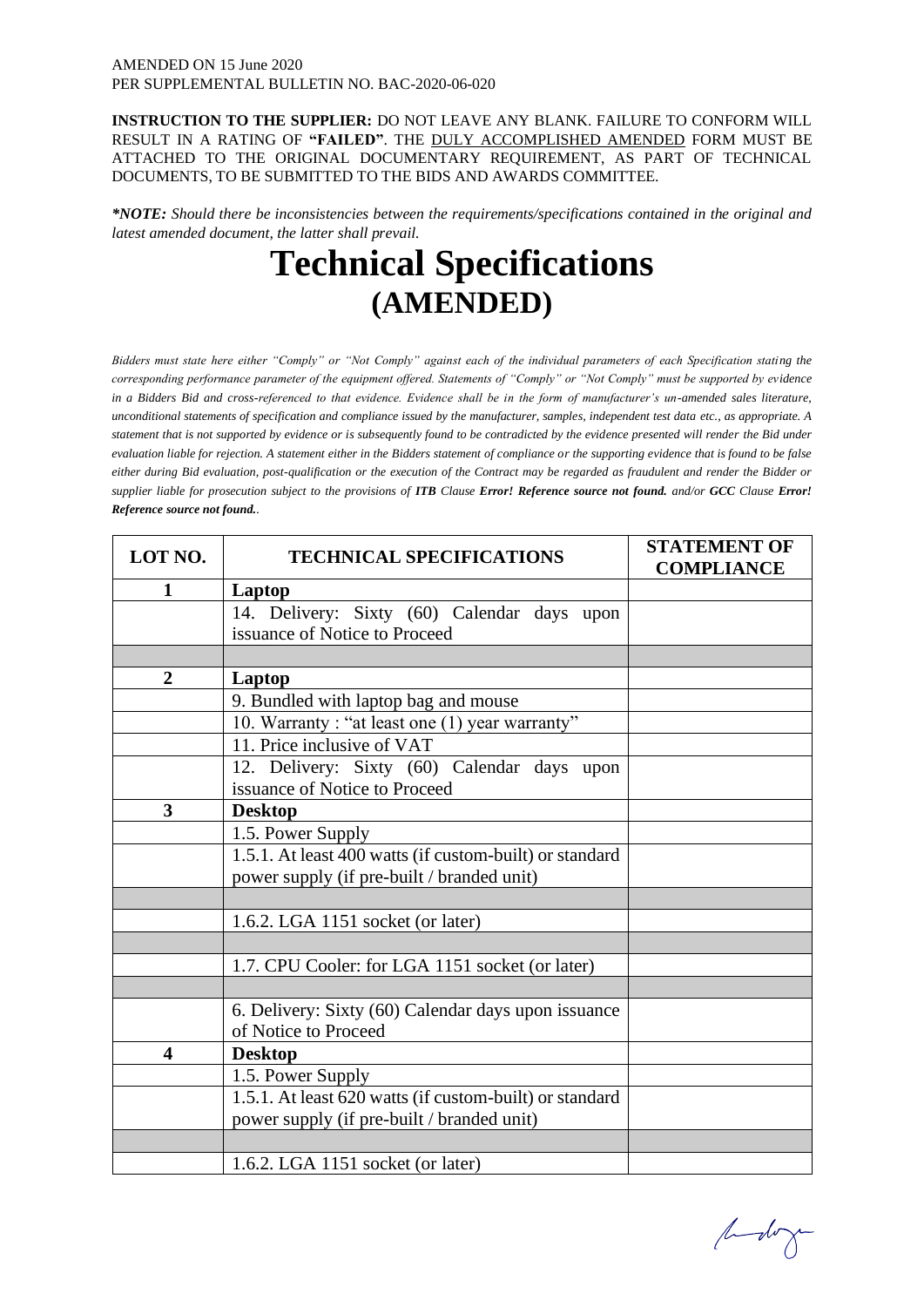#### AMENDED ON 15 June 2020 PER SUPPLEMENTAL BULLETIN NO. BAC-2020-06-020

**INSTRUCTION TO THE SUPPLIER:** DO NOT LEAVE ANY BLANK. FAILURE TO CONFORM WILL RESULT IN A RATING OF **"FAILED"**. THE DULY ACCOMPLISHED AMENDED FORM MUST BE ATTACHED TO THE ORIGINAL DOCUMENTARY REQUIREMENT, AS PART OF TECHNICAL DOCUMENTS, TO BE SUBMITTED TO THE BIDS AND AWARDS COMMITTEE.

*\*NOTE: Should there be inconsistencies between the requirements/specifications contained in the original and latest amended document, the latter shall prevail.* 

# **Technical Specifications (AMENDED)**

*Bidders must state here either "Comply" or "Not Comply" against each of the individual parameters of each Specification stating the corresponding performance parameter of the equipment offered. Statements of "Comply" or "Not Comply" must be supported by evidence in a Bidders Bid and cross-referenced to that evidence. Evidence shall be in the form of manufacturer's un-amended sales literature, unconditional statements of specification and compliance issued by the manufacturer, samples, independent test data etc., as appropriate. A statement that is not supported by evidence or is subsequently found to be contradicted by the evidence presented will render the Bid under evaluation liable for rejection. A statement either in the Bidders statement of compliance or the supporting evidence that is found to be false either during Bid evaluation, post-qualification or the execution of the Contract may be regarded as fraudulent and render the Bidder or supplier liable for prosecution subject to the provisions of <i>ITB* Clause *Error! Reference source not found. and/or GCC* Clause *Error! Reference source not found..* 

| LOT NO.                 | <b>TECHNICAL SPECIFICATIONS</b>                         | <b>STATEMENT OF</b><br><b>COMPLIANCE</b> |
|-------------------------|---------------------------------------------------------|------------------------------------------|
| 1                       | Laptop                                                  |                                          |
|                         | 14. Delivery: Sixty (60) Calendar days upon             |                                          |
|                         | issuance of Notice to Proceed                           |                                          |
|                         |                                                         |                                          |
| $\overline{2}$          | Laptop                                                  |                                          |
|                         | 9. Bundled with laptop bag and mouse                    |                                          |
|                         | 10. Warranty: "at least one (1) year warranty"          |                                          |
|                         | 11. Price inclusive of VAT                              |                                          |
|                         | 12. Delivery: Sixty (60) Calendar days upon             |                                          |
|                         | issuance of Notice to Proceed                           |                                          |
| 3                       | <b>Desktop</b>                                          |                                          |
|                         | 1.5. Power Supply                                       |                                          |
|                         | 1.5.1. At least 400 watts (if custom-built) or standard |                                          |
|                         | power supply (if pre-built / branded unit)              |                                          |
|                         |                                                         |                                          |
|                         | 1.6.2. LGA 1151 socket (or later)                       |                                          |
|                         |                                                         |                                          |
|                         | 1.7. CPU Cooler: for LGA 1151 socket (or later)         |                                          |
|                         |                                                         |                                          |
|                         | 6. Delivery: Sixty (60) Calendar days upon issuance     |                                          |
|                         | of Notice to Proceed                                    |                                          |
| $\overline{\mathbf{4}}$ | <b>Desktop</b>                                          |                                          |
|                         | 1.5. Power Supply                                       |                                          |
|                         | 1.5.1. At least 620 watts (if custom-built) or standard |                                          |
|                         | power supply (if pre-built / branded unit)              |                                          |
|                         |                                                         |                                          |
|                         | 1.6.2. LGA 1151 socket (or later)                       |                                          |

budog